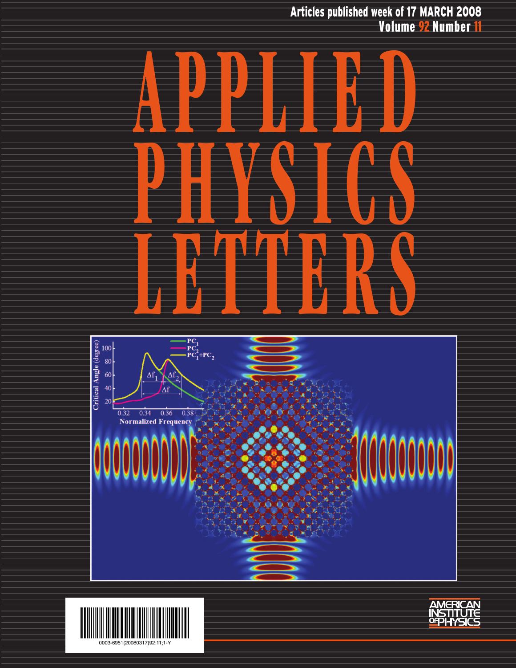Articles published week of 17 MARCH 2008 Volume 92 Number 11





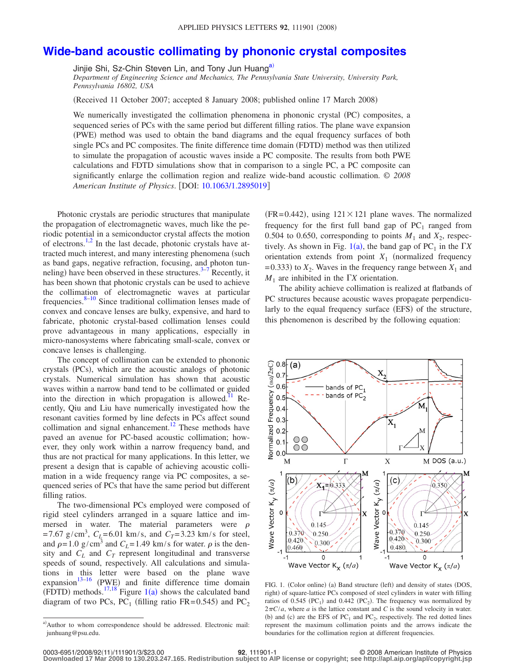## **[Wide-band acoustic collimating by phononic crystal composites](http://dx.doi.org/10.1063/1.2895019)**

Jinjie Shi, Sz-Chin Steven Lin, and Tony Jun Huang<sup>a)</sup>

*Department of Engineering Science and Mechanics, The Pennsylvania State University, University Park, Pennsylvania 16802, USA*

(Received 11 October 2007; accepted 8 January 2008; published online 17 March 2008)

We numerically investigated the collimation phenomena in phononic crystal (PC) composites, a sequenced series of PCs with the same period but different filling ratios. The plane wave expansion (PWE) method was used to obtain the band diagrams and the equal frequency surfaces of both single PCs and PC composites. The finite difference time domain (FDTD) method was then utilized to simulate the propagation of acoustic waves inside a PC composite. The results from both PWE calculations and FDTD simulations show that in comparison to a single PC, a PC composite can significantly enlarge the collimation region and realize wide-band acoustic collimation. © *2008 American Institute of Physics*. DOI: [10.1063/1.2895019](http://dx.doi.org/10.1063/1.2895019)

Photonic crystals are periodic structures that manipulate the propagation of electromagnetic waves, much like the periodic potential in a semiconductor crystal affects the motion of electrons.<sup>1,[2](#page-3-1)</sup> In the last decade, photonic crystals have attracted much interest, and many interesting phenomena (such as band gaps, negative refraction, focusing, and photon tun-neling) have been observed in these structures.<sup>3–[7](#page-3-3)</sup> Recently, it has been shown that photonic crystals can be used to achieve the collimation of electromagnetic waves at particular frequencies. $8-10$  Since traditional collimation lenses made of convex and concave lenses are bulky, expensive, and hard to fabricate, photonic crystal-based collimation lenses could prove advantageous in many applications, especially in micro-nanosystems where fabricating small-scale, convex or concave lenses is challenging.

The concept of collimation can be extended to phononic crystals (PCs), which are the acoustic analogs of photonic crystals. Numerical simulation has shown that acoustic waves within a narrow band tend to be collimated or guided into the direction in which propagation is allowed.<sup>11</sup> Recently, Qiu and Liu have numerically investigated how the resonant cavities formed by line defects in PCs affect sound collimation and signal enhancement.<sup>12</sup> These methods have paved an avenue for PC-based acoustic collimation; however, they only work within a narrow frequency band, and thus are not practical for many applications. In this letter, we present a design that is capable of achieving acoustic collimation in a wide frequency range via PC composites, a sequenced series of PCs that have the same period but different filling ratios.

The two-dimensional PCs employed were composed of rigid steel cylinders arranged in a square lattice and immersed in water. The material parameters were  $\rho$  $= 7.67 \text{ g/cm}^3$ ,  $C_L = 6.01 \text{ km/s}$ , and  $C_T = 3.23 \text{ km/s}$  for steel, and  $\rho = 1.0$  g/cm<sup>3</sup> and  $C_L = 1.49$  km/s for water.  $\rho$  is the density and  $C_L$  and  $C_T$  represent longitudinal and transverse speeds of sound, respectively. All calculations and simulations in this letter were based on the plane wave expansion $13-16$  $13-16$  (PWE) and finite difference time domain (FDTD) methods.<sup>17[,18](#page-3-11)</sup> Figure [1](#page-1-1)(a) shows the calculated band diagram of two PCs,  $PC_1$  (filling ratio FR=0.545) and  $PC_2$ 

 $(FR = 0.442)$ , using  $121 \times 121$  plane waves. The normalized frequency for the first full band gap of  $PC_1$  ranged from 0.504 to 0.650, corresponding to points  $M_1$  and  $X_2$ , respectively. As shown in Fig.  $1(a)$  $1(a)$ , the band gap of PC<sub>1</sub> in the  $\Gamma X$ orientation extends from point  $X_1$  (normalized frequency  $(2-0.333)$  to  $X_2$ . Waves in the frequency range between  $X_1$  and  $M_1$  are inhibited in the  $\Gamma X$  orientation.

The ability achieve collimation is realized at flatbands of PC structures because acoustic waves propagate perpendicularly to the equal frequency surface (EFS) of the structure, this phenomenon is described by the following equation:

<span id="page-1-1"></span>

FIG. 1. (Color online) (a) Band structure (left) and density of states (DOS, right) of square-lattice PCs composed of steel cylinders in water with filling ratios of 0.545 (PC<sub>1</sub>) and 0.442 (PC<sub>2</sub>). The frequency was normalized by  $2\pi C/a$ , where *a* is the lattice constant and *C* is the sound velocity in water. (b) and (c) are the EFS of  $PC_1$  and  $PC_2$ , respectively. The red dotted lines represent the maximum collimation points and the arrows indicate the boundaries for the collimation region at different frequencies.

**Downloaded 17 Mar 2008 to 130.203.247.165. Redistribution subject to AIP license or copyright; see http://apl.aip.org/apl/copyright.jsp**

<span id="page-1-0"></span>a) Author to whom correspondence should be addressed. Electronic mail: junhuang@psu.edu.

**<sup>92</sup>**, 111901-1 © 2008 American Institute of Physics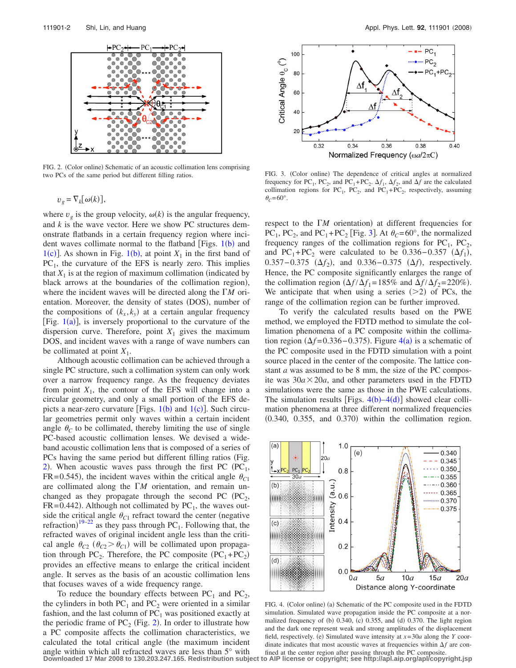<span id="page-2-0"></span>

FIG. 2. (Color online) Schematic of an acoustic collimation lens comprising two PCs of the same period but different filling ratios.

$$
v_g = \nabla_k[\omega(k)],
$$

where  $v_g$  is the group velocity,  $\omega(k)$  is the angular frequency, and *k* is the wave vector. Here we show PC structures demonstrate flatbands in a certain frequency region where incident waves collimate normal to the flatband [Figs.  $1(b)$  $1(b)$  and [1](#page-1-1)(c)]. As shown in Fig. 1(b), at point  $X_1$  in the first band of  $PC<sub>1</sub>$ , the curvature of the EFS is nearly zero. This implies that  $X_1$  is at the region of maximum collimation (indicated by black arrows at the boundaries of the collimation region), where the incident waves will be directed along the *M* orientation. Moreover, the density of states (DOS), number of the compositions of  $(k_x, k_y)$  at a certain angular frequency [Fig.  $1(a)$  $1(a)$ ], is inversely proportional to the curvature of the dispersion curve. Therefore, point  $X_1$  gives the maximum DOS, and incident waves with a range of wave numbers can be collimated at point  $X_1$ .

Although acoustic collimation can be achieved through a single PC structure, such a collimation system can only work over a narrow frequency range. As the frequency deviates from point  $X_1$ , the contour of the EFS will change into a circular geometry, and only a small portion of the EFS depicts a near-zero curvature [Figs.  $1(b)$  $1(b)$  and  $1(c)$ ]. Such circular geometries permit only waves within a certain incident angle  $\theta_c$  to be collimated, thereby limiting the use of single PC-based acoustic collimation lenses. We devised a wideband acoustic collimation lens that is composed of a series of PCs having the same period but different filling ratios (Fig. [2](#page-2-0)). When acoustic waves pass through the first PC  $(PC_1,$  $FR = 0.545$ , the incident waves within the critical angle  $\theta_{C1}$ are collimated along the  $\Gamma M$  orientation, and remain unchanged as they propagate through the second PC  $(PC_2,$  $FR = 0.442$ ). Although not collimated by  $PC<sub>1</sub>$ , the waves outside the critical angle  $\theta_{C1}$  refract toward the center (negative refraction)<sup>[19–](#page-3-12)[22](#page-3-13)</sup> as they pass through PC<sub>1</sub>. Following that, the refracted waves of original incident angle less than the critical angle  $\theta_{C2}$  ( $\theta_{C2} > \theta_{C1}$ ) will be collimated upon propagation through PC<sub>2</sub>. Therefore, the PC composite  $(PC_1+PC_2)$ provides an effective means to enlarge the critical incident angle. It serves as the basis of an acoustic collimation lens that focuses waves of a wide frequency range.

To reduce the boundary effects between  $PC_1$  and  $PC_2$ , the cylinders in both  $PC_1$  and  $PC_2$  were oriented in a similar fashion, and the last column of  $PC<sub>1</sub>$  was positioned exactly at the periodic frame of  $PC_2$  $PC_2$  (Fig. 2). In order to illustrate how a PC composite affects the collimation characteristics, we calculated the total critical angle (the maximum incident angle within which all refracted waves are less than 5° with **Downloaded 17 Mar 2008 to 130.203.247.165. Redistribution subject to AIP license or copyright; see http://apl.aip.org/apl/copyright.jsp**

<span id="page-2-1"></span>

FIG. 3. (Color online) The dependence of critical angles at normalized frequency for PC<sub>1</sub>, PC<sub>2</sub>, and PC<sub>1</sub>+PC<sub>2</sub>.  $\Delta f_1$ ,  $\Delta f_2$ , and  $\Delta f$  are the calculated collimation regions for PC<sub>1</sub>, PC<sub>2</sub>, and PC<sub>1</sub>+PC<sub>2</sub>, respectively, assuming  $\theta_c = 60^\circ$ .

respect to the  $\Gamma M$  orientation) at different frequencies for PC<sub>1</sub>, PC<sub>2</sub>, and PC<sub>1</sub>+PC<sub>2</sub> [Fig. [3](#page-2-1)]. At  $\theta_c$ =60°, the normalized frequency ranges of the collimation regions for  $PC_1$ ,  $PC_2$ , and PC<sub>1</sub>+PC<sub>2</sub> were calculated to be  $0.336 - 0.357$  ( $\Delta f_1$ ), 0.357 – 0.375 (Δ*f*<sub>2</sub>), and 0.336 – 0.375 (Δ*f*), respectively. Hence, the PC composite significantly enlarges the range of the collimation region  $(\Delta f / \Delta f_1 = 185\%$  and  $\Delta f / \Delta f_2 = 220\%$ ). We anticipate that when using a series  $(>=2)$  of PCs, the range of the collimation region can be further improved.

To verify the calculated results based on the PWE method, we employed the FDTD method to simulate the collimation phenomena of a PC composite within the collimation region  $(\Delta f = 0.336 - 0.375)$ . Figure  $4(a)$  $4(a)$  is a schematic of the PC composite used in the FDTD simulation with a point source placed in the center of the composite. The lattice constant *a* was assumed to be 8 mm, the size of the PC composite was  $30a \times 20a$ , and other parameters used in the FDTD simulations were the same as those in the PWE calculations. The simulation results [Figs.  $4(b) - 4(d)$  $4(b) - 4(d)$ ] showed clear collimation phenomena at three different normalized frequencies  $(0.340, 0.355,$  and  $0.370)$  within the collimation region.

<span id="page-2-2"></span>

FIG. 4. (Color online) (a) Schematic of the PC composite used in the FDTD simulation. Simulated wave propagation inside the PC composite at a normalized frequency of (b) 0.340, (c) 0.355, and (d) 0.370. The light region and the dark one represent weak and strong amplitudes of the displacement field, respectively. (e) Simulated wave intensity at  $x=30a$  along the *Y* coordinate indicates that most acoustic waves at frequencies within  $\Delta f$  are confined at the center region after passing through the PC composite.